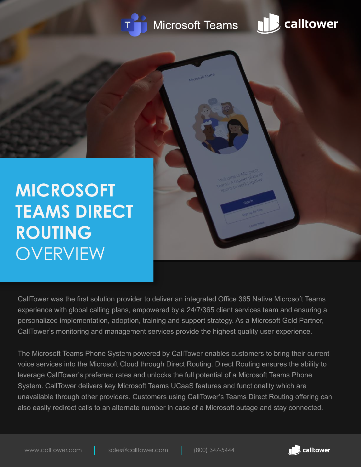

## **Microsoft Teams**



**MICROSOFT TEAMS DIRECT ROUTING OVERVIEW** 

CallTower was the first solution provider to deliver an integrated Office 365 Native Microsoft Teams experience with global calling plans, empowered by a 24/7/365 client services team and ensuring a personalized implementation, adoption, training and support strategy. As a Microsoft Gold Partner, CallTower's monitoring and management services provide the highest quality user experience.

The Microsoft Teams Phone System powered by CallTower enables customers to bring their current voice services into the Microsoft Cloud through Direct Routing. Direct Routing ensures the ability to leverage CallTower's preferred rates and unlocks the full potential of a Microsoft Teams Phone System. CallTower delivers key Microsoft Teams UCaaS features and functionality which are unavailable through other providers. Customers using CallTower's Teams Direct Routing offering can also easily redirect calls to an alternate number in case of a Microsoft outage and stay connected.

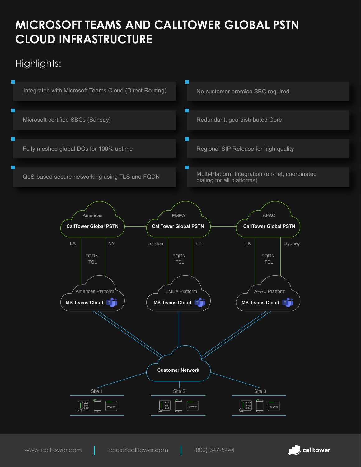## **MICROSOFT TEAMS AND CALLTOWER GLOBAL PSTN CLOUD INFRASTRUCTURE**

## Highlights:



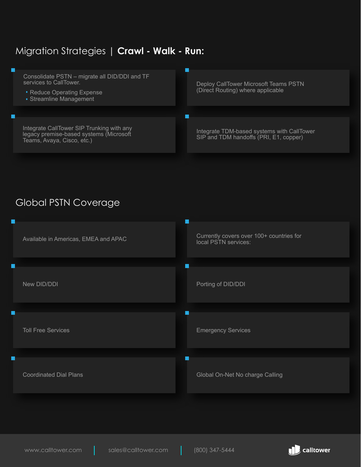#### Migration Strategies | **Crawl - Walk - Run:**



#### Global PSTN Coverage



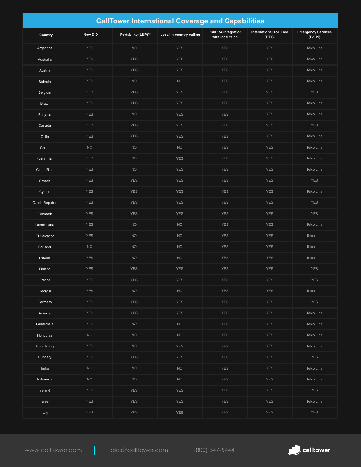| <b>CallTower International Coverage and Capabilities</b> |                |                     |                          |                                                |                                          |                                      |  |  |  |
|----------------------------------------------------------|----------------|---------------------|--------------------------|------------------------------------------------|------------------------------------------|--------------------------------------|--|--|--|
| Country                                                  | <b>New DID</b> | Portability (LNP)** | Local in-country calling | <b>PRI/PRA Integration</b><br>with local telco | <b>International Toll Free</b><br>(ITFS) | <b>Emergency Services</b><br>(E-911) |  |  |  |
| Argentina                                                | <b>YES</b>     | <b>NO</b>           | <b>YES</b>               | <b>YES</b>                                     | <b>YES</b>                               | Telco Line                           |  |  |  |
| Australia                                                | <b>YES</b>     | <b>YES</b>          | <b>YES</b>               | <b>YES</b>                                     | <b>YES</b>                               | Telco Line                           |  |  |  |
| Austria                                                  | <b>YES</b>     | <b>YES</b>          | <b>YES</b>               | <b>YES</b>                                     | <b>YES</b>                               | Telco Line                           |  |  |  |
| Bahrain                                                  | <b>YES</b>     | <b>NO</b>           | <b>NO</b>                | <b>YES</b>                                     | <b>YES</b>                               | Telco Line                           |  |  |  |
| Belgium                                                  | <b>YES</b>     | <b>YES</b>          | <b>YES</b>               | <b>YES</b>                                     | <b>YES</b>                               | <b>YES</b>                           |  |  |  |
| <b>Brazil</b>                                            | <b>YES</b>     | <b>YES</b>          | <b>YES</b>               | <b>YES</b>                                     | <b>YES</b>                               | Telco Line                           |  |  |  |
| <b>Bulgaria</b>                                          | <b>YES</b>     | <b>NO</b>           | <b>YES</b>               | <b>YES</b>                                     | <b>YES</b>                               | <b>Telco Line</b>                    |  |  |  |
| Canada                                                   | <b>YES</b>     | <b>YES</b>          | <b>YES</b>               | <b>YES</b>                                     | <b>YES</b>                               | <b>YES</b>                           |  |  |  |
| Chile                                                    | <b>YES</b>     | <b>YES</b>          | <b>YES</b>               | <b>YES</b>                                     | <b>YES</b>                               | Telco Line                           |  |  |  |
| China                                                    | <b>NO</b>      | <b>NO</b>           | <b>NO</b>                | <b>YES</b>                                     | <b>YES</b>                               | Telco Line                           |  |  |  |
| Colombia                                                 | <b>YES</b>     | <b>NO</b>           | <b>YES</b>               | <b>YES</b>                                     | <b>YES</b>                               | Telco Line                           |  |  |  |
| Costa Rica                                               | <b>YES</b>     | <b>NO</b>           | <b>YES</b>               | <b>YES</b>                                     | <b>YES</b>                               | Telco Line                           |  |  |  |
| Croatia                                                  | <b>YES</b>     | <b>YES</b>          | <b>YES</b>               | <b>YES</b>                                     | <b>YES</b>                               | <b>YES</b>                           |  |  |  |
| Cyprus                                                   | <b>YES</b>     | <b>YES</b>          | <b>YES</b>               | <b>YES</b>                                     | <b>YES</b>                               | Telco Line                           |  |  |  |
| Czech Republic                                           | <b>YES</b>     | <b>YES</b>          | <b>YES</b>               | <b>YES</b>                                     | <b>YES</b>                               | <b>YES</b>                           |  |  |  |
| Denmark                                                  | <b>YES</b>     | <b>YES</b>          | <b>YES</b>               | <b>YES</b>                                     | <b>YES</b>                               | <b>YES</b>                           |  |  |  |
| Dominicana                                               | <b>YES</b>     | <b>NO</b>           | <b>NO</b>                | <b>YES</b>                                     | <b>YES</b>                               | Telco Line                           |  |  |  |
| El Salvador                                              | <b>YES</b>     | <b>NO</b>           | <b>NO</b>                | <b>YES</b>                                     | <b>YES</b>                               | Telco Line                           |  |  |  |
| Ecuador                                                  | <b>NO</b>      | <b>NO</b>           | <b>NO</b>                | <b>YES</b>                                     | <b>YES</b>                               | Telco Line                           |  |  |  |
| Estonia                                                  | <b>YES</b>     | <b>NO</b>           | <b>NO</b>                | <b>YES</b>                                     | <b>YES</b>                               | Telco Line                           |  |  |  |
| Finland                                                  | <b>YES</b>     | <b>YES</b>          | <b>YES</b>               | <b>YES</b>                                     | <b>YES</b>                               | <b>YES</b>                           |  |  |  |
| France                                                   | YES            | <b>YES</b>          | YES                      | <b>YES</b>                                     | YES                                      | <b>YES</b>                           |  |  |  |
| Georgia                                                  | <b>YES</b>     | <b>NO</b>           | <b>NO</b>                | <b>YES</b>                                     | <b>YES</b>                               | Telco Line                           |  |  |  |
| Germany                                                  | <b>YES</b>     | <b>YES</b>          | <b>YES</b>               | <b>YES</b>                                     | <b>YES</b>                               | <b>YES</b>                           |  |  |  |
| Greece                                                   | YES            | <b>YES</b>          | <b>YES</b>               | <b>YES</b>                                     | <b>YES</b>                               | Telco Line                           |  |  |  |
| Guatemala                                                | YES            | <b>NO</b>           | <b>NO</b>                | <b>YES</b>                                     | <b>YES</b>                               | Telco Line                           |  |  |  |
| Honduras                                                 | <b>NO</b>      | NO                  | $NO$                     | YES                                            | <b>YES</b>                               | Telco Line                           |  |  |  |
| Hong Kong                                                | <b>YES</b>     | <b>NO</b>           | <b>YES</b>               | <b>YES</b>                                     | <b>YES</b>                               | Telco Line                           |  |  |  |
| Hungary                                                  | YES            | <b>YES</b>          | YES                      | <b>YES</b>                                     | <b>YES</b>                               | <b>YES</b>                           |  |  |  |
| India                                                    | <b>NO</b>      | <b>NO</b>           | <b>NO</b>                | <b>YES</b>                                     | <b>YES</b>                               | Telco Line                           |  |  |  |
| Indonesia                                                | <b>NO</b>      | NO                  | $NO$                     | <b>YES</b>                                     | YES                                      | Telco Line                           |  |  |  |
| Ireland                                                  | <b>YES</b>     | <b>YES</b>          | <b>YES</b>               | <b>YES</b>                                     | <b>YES</b>                               | <b>YES</b>                           |  |  |  |
| Israel                                                   | YES            | <b>YES</b>          | YES                      | <b>YES</b>                                     | YES                                      | Telco Line                           |  |  |  |
| Italy                                                    | YES            | <b>YES</b>          | YES                      | <b>YES</b>                                     | <b>YES</b>                               | <b>YES</b>                           |  |  |  |

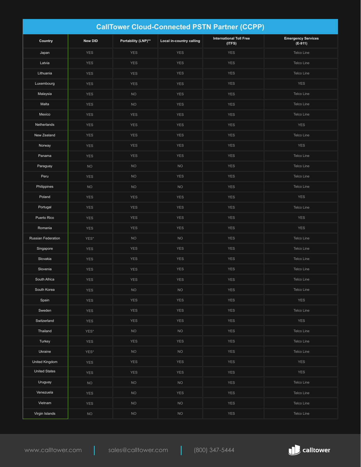| <b>CallTower Cloud-Connected PSTN Partner (CCPP)</b> |                |                     |                          |                                          |                                      |  |  |  |  |
|------------------------------------------------------|----------------|---------------------|--------------------------|------------------------------------------|--------------------------------------|--|--|--|--|
| Country                                              | <b>New DID</b> | Portability (LNP)** | Local in-country calling | <b>International Toll Free</b><br>(ITFS) | <b>Emergency Services</b><br>(E-911) |  |  |  |  |
| Japan                                                | <b>YES</b>     | <b>YES</b>          | <b>YES</b>               | <b>YES</b>                               | Telco Line                           |  |  |  |  |
| Latvia                                               | <b>YES</b>     | <b>YES</b>          | <b>YES</b>               | <b>YES</b>                               | Telco Line                           |  |  |  |  |
| Lithuania                                            | <b>YES</b>     | <b>YES</b>          | <b>YES</b>               | <b>YES</b>                               | Telco Line                           |  |  |  |  |
| Luxembourg                                           | <b>YES</b>     | <b>YES</b>          | <b>YES</b>               | <b>YES</b>                               | <b>YES</b>                           |  |  |  |  |
| Malaysia                                             | <b>YES</b>     | NO                  | <b>YES</b>               | <b>YES</b>                               | Telco Line                           |  |  |  |  |
| Malta                                                | <b>YES</b>     | <b>NO</b>           | <b>YES</b>               | <b>YES</b>                               | Telco Line                           |  |  |  |  |
| Mexico                                               | <b>YES</b>     | <b>YES</b>          | <b>YES</b>               | <b>YES</b>                               | Telco Line                           |  |  |  |  |
| Netherlands                                          | <b>YES</b>     | <b>YES</b>          | <b>YES</b>               | <b>YES</b>                               | <b>YES</b>                           |  |  |  |  |
| New Zealand                                          | <b>YES</b>     | <b>YES</b>          | <b>YES</b>               | <b>YES</b>                               | Telco Line                           |  |  |  |  |
| Norway                                               | <b>YES</b>     | <b>YES</b>          | <b>YES</b>               | <b>YES</b>                               | <b>YES</b>                           |  |  |  |  |
| Panama                                               | <b>YES</b>     | <b>YES</b>          | <b>YES</b>               | <b>YES</b>                               | Telco Line                           |  |  |  |  |
| Paraguay                                             | <b>NO</b>      | <b>NO</b>           | <b>NO</b>                | <b>YES</b>                               | Telco Line                           |  |  |  |  |
| Peru                                                 | <b>YES</b>     | <b>NO</b>           | <b>YES</b>               | <b>YES</b>                               | Telco Line                           |  |  |  |  |
| Philippines                                          | <b>NO</b>      | <b>NO</b>           | <b>NO</b>                | <b>YES</b>                               | Telco Line                           |  |  |  |  |
| Poland                                               | <b>YES</b>     | <b>YES</b>          | <b>YES</b>               | <b>YES</b>                               | <b>YES</b>                           |  |  |  |  |
| Portugal                                             | <b>YES</b>     | <b>YES</b>          | <b>YES</b>               | <b>YES</b>                               | Telco Line                           |  |  |  |  |
| Puerto Rico                                          | <b>YES</b>     | <b>YES</b>          | <b>YES</b>               | <b>YES</b>                               | <b>YES</b>                           |  |  |  |  |
| Romania                                              | <b>YES</b>     | <b>YES</b>          | <b>YES</b>               | <b>YES</b>                               | <b>YES</b>                           |  |  |  |  |
| Russian Federation                                   | YES*           | <b>NO</b>           | <b>NO</b>                | <b>YES</b>                               | Telco Line                           |  |  |  |  |
| Singapore                                            | <b>YES</b>     | <b>YES</b>          | <b>YES</b>               | <b>YES</b>                               | Telco Line                           |  |  |  |  |
| Slovakia                                             | <b>YES</b>     | <b>YES</b>          | <b>YES</b>               | <b>YES</b>                               | Telco Line                           |  |  |  |  |
| Slovenia                                             | <b>YES</b>     | <b>YES</b>          | <b>YES</b>               | <b>YES</b>                               | Telco Line                           |  |  |  |  |
| South Africa                                         | <b>YES</b>     | <b>YES</b>          | <b>YES</b>               | <b>YES</b>                               | Telco Line                           |  |  |  |  |
| South Korea                                          | <b>YES</b>     | $\rm NO$            | $\rm NO$                 | <b>YES</b>                               | Telco Line                           |  |  |  |  |
| Spain                                                | YES            | <b>YES</b>          | <b>YES</b>               | <b>YES</b>                               | <b>YES</b>                           |  |  |  |  |
| Sweden                                               | <b>YES</b>     | <b>YES</b>          | <b>YES</b>               | <b>YES</b>                               | Telco Line                           |  |  |  |  |
| Switzerland                                          | <b>YES</b>     | <b>YES</b>          | <b>YES</b>               | <b>YES</b>                               | <b>YES</b>                           |  |  |  |  |
| Thailand                                             | YES*           | NO                  | <b>NO</b>                | <b>YES</b>                               | Telco Line                           |  |  |  |  |
| Turkey                                               | <b>YES</b>     | <b>YES</b>          | <b>YES</b>               | <b>YES</b>                               | Telco Line                           |  |  |  |  |
| Ukraine                                              | $YES*$         | $NO$                | $NO$                     | YES                                      | Telco Line                           |  |  |  |  |
| United Kingdom                                       | <b>YES</b>     | <b>YES</b>          | <b>YES</b>               | <b>YES</b>                               | <b>YES</b>                           |  |  |  |  |
| <b>United States</b>                                 | <b>YES</b>     | <b>YES</b>          | <b>YES</b>               | <b>YES</b>                               | <b>YES</b>                           |  |  |  |  |
| Uruguay                                              | <b>NO</b>      | <b>NO</b>           | <b>NO</b>                | <b>YES</b>                               | Telco Line                           |  |  |  |  |
| Venezuela                                            | <b>YES</b>     | $NO$                | <b>YES</b>               | <b>YES</b>                               | Telco Line                           |  |  |  |  |
| Vietnam                                              | <b>YES</b>     | $NO$                | $\rm NO$                 | <b>YES</b>                               | Telco Line                           |  |  |  |  |
| Virgin Islands                                       | <b>NO</b>      | $NO$                | $\rm NO$                 | <b>YES</b>                               | Telco Line                           |  |  |  |  |

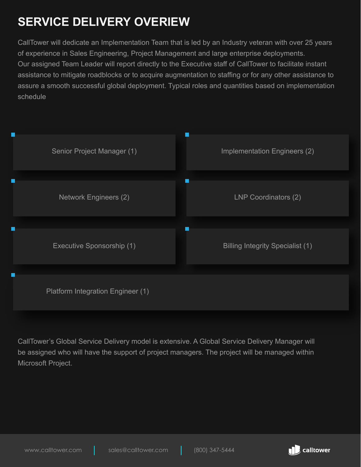# **SERVICE DELIVERY OVERIEW**

CallTower will dedicate an Implementation Team that is led by an Industry veteran with over 25 years of experience in Sales Engineering, Project Management and large enterprise deployments. Our assigned Team Leader will report directly to the Executive staff of CallTower to facilitate instant assistance to mitigate roadblocks or to acquire augmentation to staffing or for any other assistance to assure a smooth successful global deployment. Typical roles and quantities based on implementation schedule



CallTower's Global Service Delivery model is extensive. A Global Service Delivery Manager will be assigned who will have the support of project managers. The project will be managed within Microsoft Project.